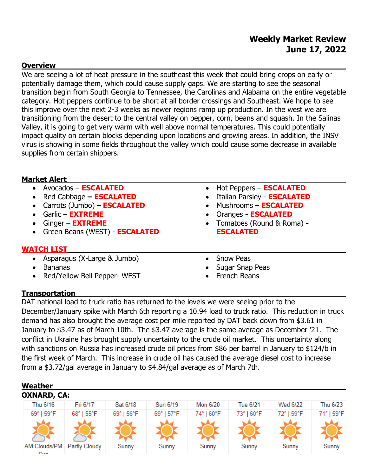## **Weekly Market Review June 17, 2022**

#### **Overview**

We are seeing a lot of heat pressure in the southeast this week that could bring crops on early or potentially damage them, which could cause supply gaps. We are starting to see the seasonal transition begin from South Georgia to Tennessee, the Carolinas and Alabama on the entire vegetable category. Hot peppers continue to be short at all border crossings and Southeast. We hope to see this improve over the next 2-3 weeks as newer regions ramp up production. In the west we are transitioning from the desert to the central valley on pepper, corn, beans and squash. In the Salinas Valley, it is going to get very warm with well above normal temperatures. This could potentially impact quality on certain blocks depending upon locations and growing areas. In addition, the INSV virus is showing in some fields throughout the valley which could cause some decrease in available supplies from certain shippers.

#### **Market Alert**

- Avocados **ESCALATED**
- Red Cabbage **– ESCALATED**
- Carrots (Jumbo) **ESCALATED**
- Garlic **EXTREME**
- Ginger **EXTREME**
- Green Beans (WEST) **ESCALATED**

## **WATCH LIST**

- Asparagus (X-Large & Jumbo)
- Bananas
- Red/Yellow Bell Pepper-WEST
- Hot Peppers **ESCALATED**
- Italian Parsley **ESCALATED**
- Mushrooms **ESCALATED**
- Oranges **- ESCALATED**
- Tomatoes (Round & Roma) **- ESCALATED**
- Snow Peas
- Sugar Snap Peas
- French Beans

#### **Transportation**

DAT national load to truck ratio has returned to the levels we were seeing prior to the December/January spike with March 6th reporting a 10.94 load to truck ratio. This reduction in truck demand has also brought the average cost per mile reported by DAT back down from \$3.61 in January to \$3.47 as of March 10th. The \$3.47 average is the same average as December '21. The conflict in Ukraine has brought supply uncertainty to the crude oil market. This uncertainty along with sanctions on Russia has increased crude oil prices from \$86 per barrel in January to \$124/b in the first week of March. This increase in crude oil has caused the average diesel cost to increase from a \$3.72/gal average in January to \$4.84/gal average as of March 7th.

| Weather          |                    |            |            |            |            |                 |            |  |
|------------------|--------------------|------------|------------|------------|------------|-----------------|------------|--|
|                  | <b>OXNARD, CA:</b> |            |            |            |            |                 |            |  |
| Thu 6/16         | Fri 6/17           | Sat 6/18   | Sun 6/19   | Mon 6/20   | Tue 6/21   | <b>Wed 6/22</b> | Thu 6/23   |  |
| 69°   59°F       | 68°   55°F         | 69°   56°F | 69°   57°F | 74°   60°F | 73°   60°F | 72°   59°F      | 71°   59°F |  |
|                  |                    |            |            |            |            |                 |            |  |
|                  |                    |            |            |            |            |                 |            |  |
|                  |                    |            |            |            |            |                 |            |  |
| AM Clouds/PM     | Partly Cloudy      | Sunny      | Sunny      | Sunny      | Sunny      | Sunny           | Sunny      |  |
| $P_{\text{max}}$ |                    |            |            |            |            |                 |            |  |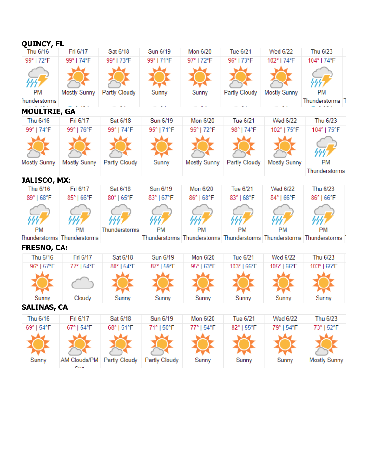| <b>QUINCY, FL</b>               |                             |                      |               |              |               |                     |                                                                       |
|---------------------------------|-----------------------------|----------------------|---------------|--------------|---------------|---------------------|-----------------------------------------------------------------------|
| Thu 6/16                        | Fri 6/17                    | Sat 6/18             | Sun 6/19      | Mon 6/20     | Tue 6/21      | Wed 6/22            | Thu 6/23                                                              |
| 99°   72°F                      | 99°   74°F                  | 99°   73°F           | 99°   71°F    | 97°   72°F   | 96°   73°F    | 102°   74°F         | 104°   74°F                                                           |
|                                 |                             |                      |               |              |               |                     |                                                                       |
|                                 |                             |                      |               |              |               |                     |                                                                       |
| <b>PM</b>                       | <b>Mostly Sunny</b>         | Partly Cloudy        | Sunny         | Sunny        | Partly Cloudy | <b>Mostly Sunny</b> | PM                                                                    |
| hunderstorms                    |                             |                      |               |              |               |                     | Thunderstorms T                                                       |
| <b>MOULTRIE, GA</b>             |                             |                      |               |              |               |                     |                                                                       |
| Thu 6/16                        | Fri 6/17                    | Sat 6/18             | Sun 6/19      | Mon 6/20     | Tue 6/21      | Wed 6/22            | Thu 6/23                                                              |
| 99°   74°F                      | 99°   76°F                  | 99°   74°F           | 95°   71°F    | 95°   72°F   | 98°   74°F    | 102°   75°F         | 104°   75°F                                                           |
|                                 |                             |                      |               |              |               |                     |                                                                       |
|                                 |                             |                      |               |              |               |                     |                                                                       |
|                                 |                             |                      |               |              |               |                     |                                                                       |
| Mostly Sunny                    | Mostly Sunny                | Partly Cloudy        | Sunny         | Mostly Sunny | Partly Cloudy | <b>Mostly Sunny</b> | PM                                                                    |
|                                 |                             |                      |               |              |               |                     | Thunderstorms                                                         |
| <b>JALISCO, MX:</b><br>Thu 6/16 | Fri 6/17                    | Sat 6/18             | Sun 6/19      | Mon 6/20     | Tue 6/21      | Wed 6/22            | Thu 6/23                                                              |
| 89°   68°F                      | 85°   66°F                  | 80°   65°F           | 83°   67°F    | 86°   68°F   | 83°   68°F    | 84°   66°F          | 86°   66°F                                                            |
|                                 |                             |                      |               |              |               |                     |                                                                       |
|                                 |                             |                      |               |              |               |                     |                                                                       |
|                                 |                             |                      |               |              |               |                     |                                                                       |
| PM                              | PM                          | Thunderstorms        | <b>PM</b>     | PM           | <b>PM</b>     | РM                  | PM                                                                    |
|                                 | Thunderstorms Thunderstorms |                      |               |              |               |                     | Thunderstorms Thunderstorms Thunderstorms Thunderstorms Thunderstorms |
| <b>FRESNO, CA:</b>              |                             |                      |               |              |               |                     |                                                                       |
| Thu 6/16                        | Fri 6/17                    | Sat 6/18             | Sun 6/19      | Mon 6/20     | Tue 6/21      | Wed 6/22            | Thu 6/23                                                              |
| 96°   57°F                      | 77°   54°F                  | 80°   54°F           | 87°   59°F    | 95°   63°F   | 103°   66°F   | 105°   66°F         | 103°   65°F                                                           |
|                                 |                             |                      |               |              |               |                     |                                                                       |
|                                 |                             |                      |               |              |               |                     |                                                                       |
| Sunny                           | Cloudy                      | Sunny                | Sunny         | Sunny        | Sunny         | Sunny               | Sunny                                                                 |
| <b>SALINAS, CA</b>              |                             |                      |               |              |               |                     |                                                                       |
| Thu 6/16                        | Fri 6/17                    | Sat 6/18             | Sun 6/19      | Mon 6/20     | Tue 6/21      | Wed 6/22            | Thu 6/23                                                              |
| 69°   54°F                      | 67°   54°F                  | 68°   51°F           | 71°   50°F    | 77°   54°F   | 82°   55°F    | 79°   54°F          | 73°   52°F                                                            |
|                                 |                             |                      |               |              |               |                     |                                                                       |
|                                 |                             |                      |               |              |               |                     |                                                                       |
|                                 |                             |                      |               |              |               |                     |                                                                       |
| Sunny                           | AM Clouds/PM                | <b>Partly Cloudy</b> | Partly Cloudy | Sunny        | Sunny         | Sunny               | <b>Mostly Sunny</b>                                                   |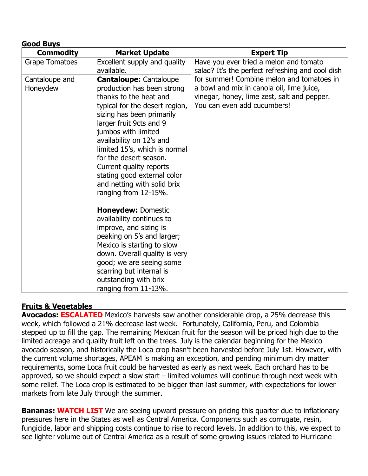| <b>Good Buys</b>           |                                                                                                                                                                                                                                                                                                                                                                                                                |                                                                                                                                                                      |  |  |
|----------------------------|----------------------------------------------------------------------------------------------------------------------------------------------------------------------------------------------------------------------------------------------------------------------------------------------------------------------------------------------------------------------------------------------------------------|----------------------------------------------------------------------------------------------------------------------------------------------------------------------|--|--|
| <b>Commodity</b>           | <b>Market Update</b>                                                                                                                                                                                                                                                                                                                                                                                           | <b>Expert Tip</b>                                                                                                                                                    |  |  |
| <b>Grape Tomatoes</b>      | Excellent supply and quality<br>available.                                                                                                                                                                                                                                                                                                                                                                     | Have you ever tried a melon and tomato<br>salad? It's the perfect refreshing and cool dish                                                                           |  |  |
| Cantaloupe and<br>Honeydew | <b>Cantaloupe: Cantaloupe</b><br>production has been strong<br>thanks to the heat and<br>typical for the desert region,<br>sizing has been primarily<br>larger fruit 9cts and 9<br>jumbos with limited<br>availability on 12's and<br>limited 15's, which is normal<br>for the desert season.<br>Current quality reports<br>stating good external color<br>and netting with solid brix<br>ranging from 12-15%. | for summer! Combine melon and tomatoes in<br>a bowl and mix in canola oil, lime juice,<br>vinegar, honey, lime zest, salt and pepper.<br>You can even add cucumbers! |  |  |
|                            | <b>Honeydew: Domestic</b><br>availability continues to<br>improve, and sizing is<br>peaking on 5's and larger;<br>Mexico is starting to slow<br>down. Overall quality is very<br>good; we are seeing some<br>scarring but internal is<br>outstanding with brix<br>ranging from 11-13%.                                                                                                                         |                                                                                                                                                                      |  |  |

## **Fruits & Vegetables**

**Avocados: ESCALATED** Mexico's harvests saw another considerable drop, a 25% decrease this week, which followed a 21% decrease last week. Fortunately, California, Peru, and Colombia stepped up to fill the gap. The remaining Mexican fruit for the season will be priced high due to the limited acreage and quality fruit left on the trees. July is the calendar beginning for the Mexico avocado season, and historically the Loca crop hasn't been harvested before July 1st. However, with the current volume shortages, APEAM is making an exception, and pending minimum dry matter requirements, some Loca fruit could be harvested as early as next week. Each orchard has to be approved, so we should expect a slow start – limited volumes will continue through next week with some relief. The Loca crop is estimated to be bigger than last summer, with expectations for lower markets from late July through the summer.

**Bananas: WATCH LIST** We are seeing upward pressure on pricing this quarter due to inflationary pressures here in the States as well as Central America. Components such as corrugate, resin, fungicide, labor and shipping costs continue to rise to record levels. In addition to this, we expect to see lighter volume out of Central America as a result of some growing issues related to Hurricane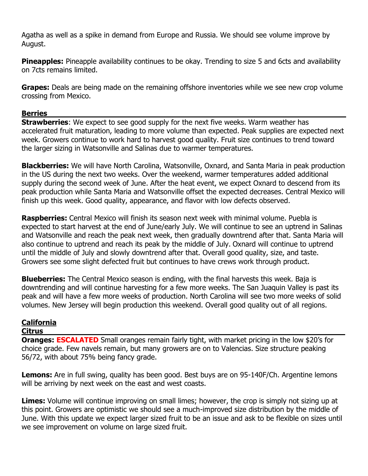Agatha as well as a spike in demand from Europe and Russia. We should see volume improve by August.

**Pineapples:** Pineapple availability continues to be okay. Trending to size 5 and 6cts and availability on 7cts remains limited.

**Grapes:** Deals are being made on the remaining offshore inventories while we see new crop volume crossing from Mexico.

#### **Berries**

**Strawberries**: We expect to see good supply for the next five weeks. Warm weather has accelerated fruit maturation, leading to more volume than expected. Peak supplies are expected next week. Growers continue to work hard to harvest good quality. Fruit size continues to trend toward the larger sizing in Watsonville and Salinas due to warmer temperatures.

**Blackberries:** We will have North Carolina, Watsonville, Oxnard, and Santa Maria in peak production in the US during the next two weeks. Over the weekend, warmer temperatures added additional supply during the second week of June. After the heat event, we expect Oxnard to descend from its peak production while Santa Maria and Watsonville offset the expected decreases. Central Mexico will finish up this week. Good quality, appearance, and flavor with low defects observed.

**Raspberries:** Central Mexico will finish its season next week with minimal volume. Puebla is expected to start harvest at the end of June/early July. We will continue to see an uptrend in Salinas and Watsonville and reach the peak next week, then gradually downtrend after that. Santa Maria will also continue to uptrend and reach its peak by the middle of July. Oxnard will continue to uptrend until the middle of July and slowly downtrend after that. Overall good quality, size, and taste. Growers see some slight defected fruit but continues to have crews work through product.

**Blueberries:** The Central Mexico season is ending, with the final harvests this week. Baja is downtrending and will continue harvesting for a few more weeks. The San Juaquin Valley is past its peak and will have a few more weeks of production. North Carolina will see two more weeks of solid volumes. New Jersey will begin production this weekend. Overall good quality out of all regions.

# **California**

## **Citrus**

**Oranges: ESCALATED** Small oranges remain fairly tight, with market pricing in the low \$20's for choice grade. Few navels remain, but many growers are on to Valencias. Size structure peaking 56/72, with about 75% being fancy grade.

**Lemons:** Are in full swing, quality has been good. Best buys are on 95-140F/Ch. Argentine lemons will be arriving by next week on the east and west coasts.

**Limes:** Volume will continue improving on small limes; however, the crop is simply not sizing up at this point. Growers are optimistic we should see a much-improved size distribution by the middle of June. With this update we expect larger sized fruit to be an issue and ask to be flexible on sizes until we see improvement on volume on large sized fruit.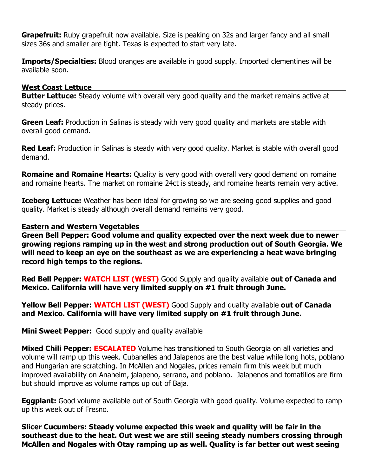**Grapefruit:** Ruby grapefruit now available. Size is peaking on 32s and larger fancy and all small sizes 36s and smaller are tight. Texas is expected to start very late.

**Imports/Specialties:** Blood oranges are available in good supply. Imported clementines will be available soon.

#### **West Coast Lettuce**

**Butter Lettuce:** Steady volume with overall very good quality and the market remains active at steady prices.

**Green Leaf:** Production in Salinas is steady with very good quality and markets are stable with overall good demand.

**Red Leaf:** Production in Salinas is steady with very good quality. Market is stable with overall good demand.

**Romaine and Romaine Hearts:** Quality is very good with overall very good demand on romaine and romaine hearts. The market on romaine 24ct is steady, and romaine hearts remain very active.

**Iceberg Lettuce:** Weather has been ideal for growing so we are seeing good supplies and good quality. Market is steady although overall demand remains very good.

#### **Eastern and Western Vegetables**

**Green Bell Pepper: Good volume and quality expected over the next week due to newer growing regions ramping up in the west and strong production out of South Georgia. We will need to keep an eye on the southeast as we are experiencing a heat wave bringing record high temps to the regions.** 

**Red Bell Pepper: WATCH LIST (WEST)** Good Supply and quality available **out of Canada and Mexico. California will have very limited supply on #1 fruit through June.**

**Yellow Bell Pepper: WATCH LIST (WEST)** Good Supply and quality available **out of Canada and Mexico. California will have very limited supply on #1 fruit through June.**

**Mini Sweet Pepper:** Good supply and quality available

**Mixed Chili Pepper: ESCALATED** Volume has transitioned to South Georgia on all varieties and volume will ramp up this week. Cubanelles and Jalapenos are the best value while long hots, poblano and Hungarian are scratching. In McAllen and Nogales, prices remain firm this week but much improved availability on Anaheim, jalapeno, serrano, and poblano. Jalapenos and tomatillos are firm but should improve as volume ramps up out of Baja.

**Eggplant:** Good volume available out of South Georgia with good quality. Volume expected to ramp up this week out of Fresno.

**Slicer Cucumbers: Steady volume expected this week and quality will be fair in the southeast due to the heat. Out west we are still seeing steady numbers crossing through McAllen and Nogales with Otay ramping up as well. Quality is far better out west seeing**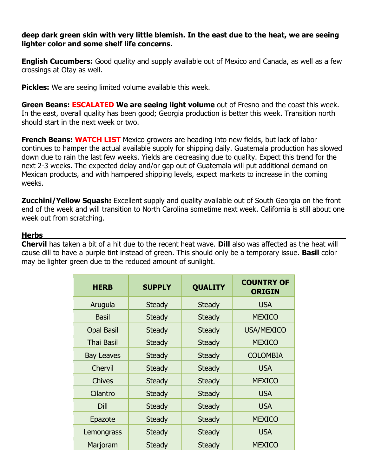#### **deep dark green skin with very little blemish. In the east due to the heat, we are seeing lighter color and some shelf life concerns.**

**English Cucumbers:** Good quality and supply available out of Mexico and Canada, as well as a few crossings at Otay as well.

**Pickles:** We are seeing limited volume available this week.

**Green Beans: ESCALATED We are seeing light volume** out of Fresno and the coast this week. In the east, overall quality has been good; Georgia production is better this week. Transition north should start in the next week or two.

**French Beans: WATCH LIST** Mexico growers are heading into new fields, but lack of labor continues to hamper the actual available supply for shipping daily. Guatemala production has slowed down due to rain the last few weeks. Yields are decreasing due to quality. Expect this trend for the next 2-3 weeks. The expected delay and/or gap out of Guatemala will put additional demand on Mexican products, and with hampered shipping levels, expect markets to increase in the coming weeks.

**Zucchini/Yellow Squash:** Excellent supply and quality available out of South Georgia on the front end of the week and will transition to North Carolina sometime next week. California is still about one week out from scratching.

## **Herbs**

**Chervil** has taken a bit of a hit due to the recent heat wave. **Dill** also was affected as the heat will cause dill to have a purple tint instead of green. This should only be a temporary issue. **Basil** color may be lighter green due to the reduced amount of sunlight.

| <b>HERB</b>       | <b>SUPPLY</b> | <b>QUALITY</b> | <b>COUNTRY OF</b><br><b>ORIGIN</b> |
|-------------------|---------------|----------------|------------------------------------|
| Arugula           | <b>Steady</b> | <b>Steady</b>  | <b>USA</b>                         |
| <b>Basil</b>      | <b>Steady</b> | <b>Steady</b>  | <b>MEXICO</b>                      |
| <b>Opal Basil</b> | <b>Steady</b> | <b>Steady</b>  | <b>USA/MEXICO</b>                  |
| <b>Thai Basil</b> | <b>Steady</b> | <b>Steady</b>  | <b>MEXICO</b>                      |
| <b>Bay Leaves</b> | <b>Steady</b> | <b>Steady</b>  | <b>COLOMBIA</b>                    |
| Chervil           | <b>Steady</b> | <b>Steady</b>  | <b>USA</b>                         |
| <b>Chives</b>     | <b>Steady</b> | <b>Steady</b>  | <b>MEXICO</b>                      |
| Cilantro          | <b>Steady</b> | <b>Steady</b>  | <b>USA</b>                         |
| Dill              | <b>Steady</b> | <b>Steady</b>  | <b>USA</b>                         |
| Epazote           | <b>Steady</b> | <b>Steady</b>  | <b>MEXICO</b>                      |
| Lemongrass        | <b>Steady</b> | <b>Steady</b>  | <b>USA</b>                         |
| Marjoram          | <b>Steady</b> | <b>Steady</b>  | <b>MEXICO</b>                      |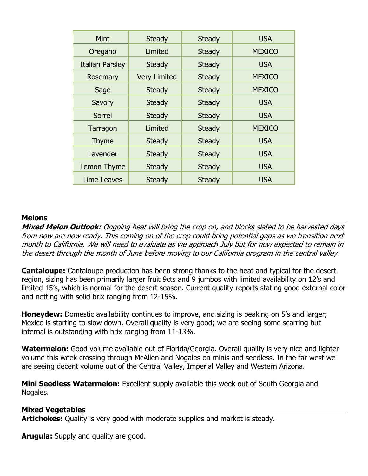| Mint                         | <b>Steady</b>       | <b>Steady</b> | <b>USA</b>    |
|------------------------------|---------------------|---------------|---------------|
| Oregano                      | Limited             | <b>Steady</b> | <b>MEXICO</b> |
| <b>Italian Parsley</b>       | <b>Steady</b>       | <b>Steady</b> | <b>USA</b>    |
| Rosemary                     | <b>Very Limited</b> | <b>Steady</b> | <b>MEXICO</b> |
| Sage                         | <b>Steady</b>       | <b>Steady</b> | <b>MEXICO</b> |
| Savory                       | <b>Steady</b>       | <b>Steady</b> | <b>USA</b>    |
| Sorrel                       | <b>Steady</b>       | <b>Steady</b> | <b>USA</b>    |
| Tarragon                     | Limited             | <b>Steady</b> | <b>MEXICO</b> |
| <b>Thyme</b>                 | <b>Steady</b>       | <b>Steady</b> | <b>USA</b>    |
| Lavender                     | <b>Steady</b>       | <b>Steady</b> | <b>USA</b>    |
| Lemon Thyme                  | <b>Steady</b>       |               | <b>USA</b>    |
| Lime Leaves<br><b>Steady</b> |                     | <b>Steady</b> | <b>USA</b>    |

#### **Melons**

**Mixed Melon Outlook:** Ongoing heat will bring the crop on, and blocks slated to be harvested days from now are now ready. This coming on of the crop could bring potential gaps as we transition next month to California. We will need to evaluate as we approach July but for now expected to remain in the desert through the month of June before moving to our California program in the central valley.

**Cantaloupe:** Cantaloupe production has been strong thanks to the heat and typical for the desert region, sizing has been primarily larger fruit 9cts and 9 jumbos with limited availability on 12's and limited 15's, which is normal for the desert season. Current quality reports stating good external color and netting with solid brix ranging from 12-15%.

**Honeydew:** Domestic availability continues to improve, and sizing is peaking on 5's and larger; Mexico is starting to slow down. Overall quality is very good; we are seeing some scarring but internal is outstanding with brix ranging from 11-13%.

**Watermelon:** Good volume available out of Florida/Georgia. Overall quality is very nice and lighter volume this week crossing through McAllen and Nogales on minis and seedless. In the far west we are seeing decent volume out of the Central Valley, Imperial Valley and Western Arizona.

**Mini Seedless Watermelon:** Excellent supply available this week out of South Georgia and Nogales.

#### **Mixed Vegetables**

**Artichokes:** Quality is very good with moderate supplies and market is steady.

**Arugula:** Supply and quality are good.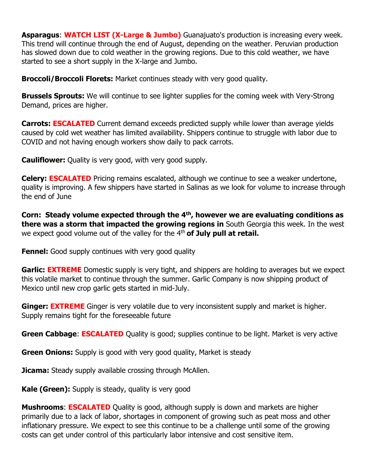**Asparagus**: **WATCH LIST (X-Large & Jumbo)** Guanajuato's production is increasing every week. This trend will continue through the end of August, depending on the weather. Peruvian production has slowed down due to cold weather in the growing regions. Due to this cold weather, we have started to see a short supply in the X-large and Jumbo.

**Broccoli/Broccoli Florets:** Market continues steady with very good quality.

**Brussels Sprouts:** We will continue to see lighter supplies for the coming week with Very-Strong Demand, prices are higher.

**Carrots: ESCALATED** Current demand exceeds predicted supply while lower than average yields caused by cold wet weather has limited availability. Shippers continue to struggle with labor due to COVID and not having enough workers show daily to pack carrots.

**Cauliflower:** Quality is very good, with very good supply.

**Celery: ESCALATED** Pricing remains escalated, although we continue to see a weaker undertone, quality is improving. A few shippers have started in Salinas as we look for volume to increase through the end of June

**Corn: Steady volume expected through the 4th , however we are evaluating conditions as there was a storm that impacted the growing regions in** South Georgia this week. In the west we expect good volume out of the valley for the 4<sup>th</sup> of July pull at retail.

**Fennel:** Good supply continues with very good quality

**Garlic: EXTREME** Domestic supply is very tight, and shippers are holding to averages but we expect this volatile market to continue through the summer. Garlic Company is now shipping product of Mexico until new crop garlic gets started in mid-July.

**Ginger: EXTREME** Ginger is very volatile due to very inconsistent supply and market is higher. Supply remains tight for the foreseeable future

**Green Cabbage: ESCALATED** Quality is good; supplies continue to be light. Market is very active

**Green Onions:** Supply is good with very good quality, Market is steady

**Jicama:** Steady supply available crossing through McAllen.

**Kale (Green):** Supply is steady, quality is very good

**Mushrooms: ESCALATED** Quality is good, although supply is down and markets are higher primarily due to a lack of labor, shortages in component of growing such as peat moss and other inflationary pressure. We expect to see this continue to be a challenge until some of the growing costs can get under control of this particularly labor intensive and cost sensitive item.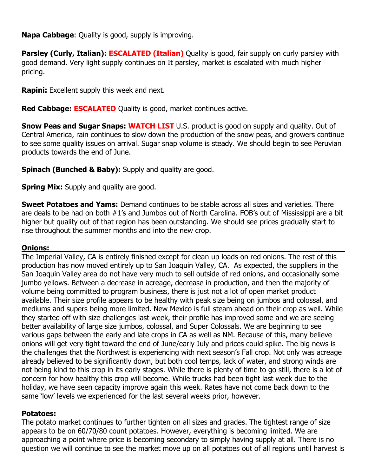**Napa Cabbage**: Quality is good, supply is improving.

**Parsley (Curly, Italian): ESCALATED (Italian)** Quality is good, fair supply on curly parsley with good demand. Very light supply continues on It parsley, market is escalated with much higher pricing.

**Rapini:** Excellent supply this week and next.

**Red Cabbage: ESCALATED** Quality is good, market continues active.

**Snow Peas and Sugar Snaps: WATCH LIST** U.S. product is good on supply and quality. Out of Central America, rain continues to slow down the production of the snow peas, and growers continue to see some quality issues on arrival. Sugar snap volume is steady. We should begin to see Peruvian products towards the end of June.

**Spinach (Bunched & Baby):** Supply and quality are good.

**Spring Mix:** Supply and quality are good.

**Sweet Potatoes and Yams:** Demand continues to be stable across all sizes and varieties. There are deals to be had on both #1's and Jumbos out of North Carolina. FOB's out of Mississippi are a bit higher but quality out of that region has been outstanding. We should see prices gradually start to rise throughout the summer months and into the new crop.

## **Onions:**

The Imperial Valley, CA is entirely finished except for clean up loads on red onions. The rest of this production has now moved entirely up to San Joaquin Valley, CA. As expected, the suppliers in the San Joaquin Valley area do not have very much to sell outside of red onions, and occasionally some jumbo yellows. Between a decrease in acreage, decrease in production, and then the majority of volume being committed to program business, there is just not a lot of open market product available. Their size profile appears to be healthy with peak size being on jumbos and colossal, and mediums and supers being more limited. New Mexico is full steam ahead on their crop as well. While they started off with size challenges last week, their profile has improved some and we are seeing better availability of large size jumbos, colossal, and Super Colossals. We are beginning to see various gaps between the early and late crops in CA as well as NM. Because of this, many believe onions will get very tight toward the end of June/early July and prices could spike. The big news is the challenges that the Northwest is experiencing with next season's Fall crop. Not only was acreage already believed to be significantly down, but both cool temps, lack of water, and strong winds are not being kind to this crop in its early stages. While there is plenty of time to go still, there is a lot of concern for how healthy this crop will become. While trucks had been tight last week due to the holiday, we have seen capacity improve again this week. Rates have not come back down to the same 'low' levels we experienced for the last several weeks prior, however.

## **Potatoes:**

The potato market continues to further tighten on all sizes and grades. The tightest range of size appears to be on 60/70/80 count potatoes. However, everything is becoming limited. We are approaching a point where price is becoming secondary to simply having supply at all. There is no question we will continue to see the market move up on all potatoes out of all regions until harvest is